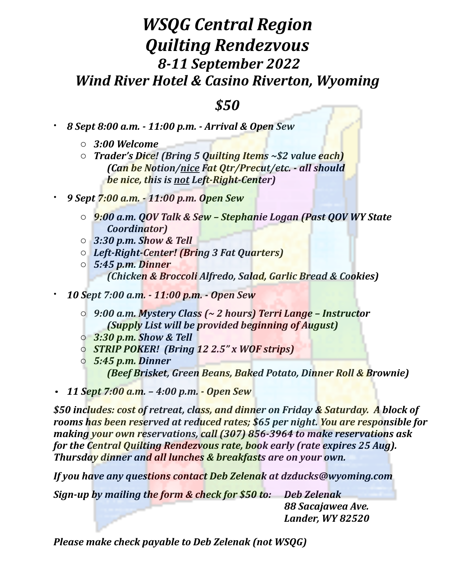## *WSQG Central Region Quilting Rendezvous 8-11 September 2022 Wind River Hotel & Casino Riverton, Wyoming*

## *\$50*

- *8 Sept 8:00 a.m. - 11:00 p.m. - Arrival & Open Sew*
	- o *3:00 Welcome*
	- *Trader's Dice!* (Bring 5 Quilting Items ~\$2 value each) *(Can be Notion/nice Fat Otr/Precut/etc. - all should <i>be* nice, this is not Left-Right-Center)
- *9 Sept 7:00 a.m. - 11:00 p.m. Open Sew*
	- o *9:00 a.m. QOV Talk & Sew – Stephanie Logan (Past QOV WY State Coordinator)*
	- o *3:30 p.m. Show & Tell*
	- o *Left-Right-Center! (Bring 3 Fat Quarters)*
	- o *5:45 p.m. Dinner (Chicken & Broccoli Alfredo, Salad, Garlic Bread & Cookies)*
- *10 Sept 7:00 a.m. - 11:00 p.m. - Open Sew*
	- o *9:00 a.m. Mystery Class (~ 2 hours) Terri Lange – Instructor (Supply List will be provided beginning of August)*
	- o *3:30 p.m. Show & Tell*
	- o *STRIP POKER! (Bring 12 2.5" x WOF strips)*
	- o *5:45 p.m. Dinner <i>(Beef Brisket, Green Beans, Baked Potato, Dinner Roll & Brownie)*
- *11 Sept 7:00 a.m. – 4:00 p.m. - Open Sew*

\$50 includes: cost of retreat, class, and dinner on Friday & Saturday. A block of rooms has been reserved at reduced rates; \$65 per night. You are responsible for *making vour own reservations, call (307)* 856-3964 to make *reservations* ask *for the Central Quilting Rendezvous rate, book early (rate expires 25 Aug). Thursday dinner and all lunches & breakfasts are on your own.* 

*If you have any questions contact Deb Zelenak at dzducks@wyoming.com* 

*Sign-up by mailing the form & check for \$50 to:* Deb Zelenak

 *88 Sacajawea Ave. Lander, WY 82520*

*Please make check payable to Deb Zelenak (not WSQG)*